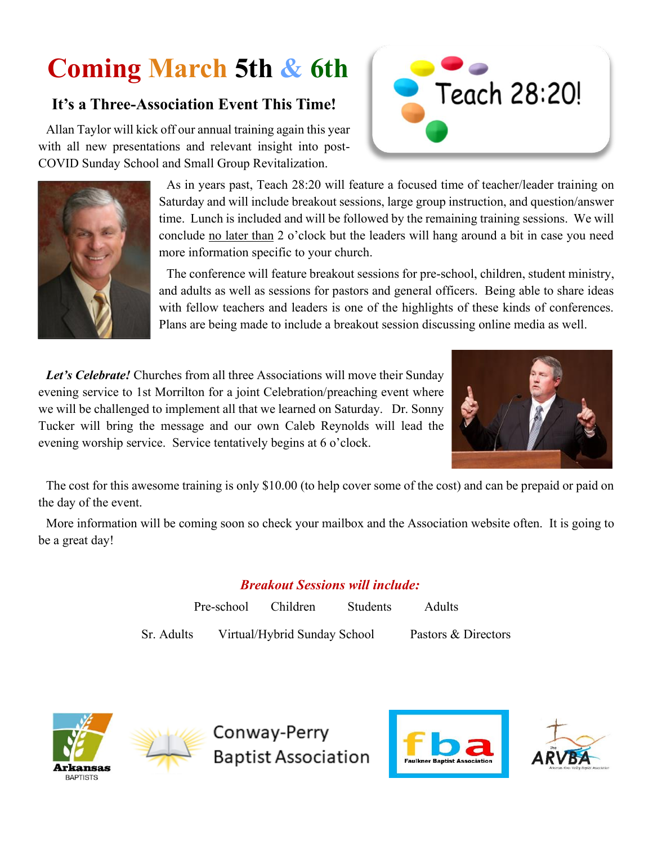# **Coming March 5th & 6th**

# **It's a Three-Association Event This Time!**

Allan Taylor will kick off our annual training again this year with all new presentations and relevant insight into post-COVID Sunday School and Small Group Revitalization.





As in years past, Teach 28:20 will feature a focused time of teacher/leader training on Saturday and will include breakout sessions, large group instruction, and question/answer time. Lunch is included and will be followed by the remaining training sessions. We will conclude no later than 2 o'clock but the leaders will hang around a bit in case you need more information specific to your church.

The conference will feature breakout sessions for pre-school, children, student ministry, and adults as well as sessions for pastors and general officers. Being able to share ideas with fellow teachers and leaders is one of the highlights of these kinds of conferences. Plans are being made to include a breakout session discussing online media as well.

*Let's Celebrate!* Churches from all three Associations will move their Sunday evening service to 1st Morrilton for a joint Celebration/preaching event where we will be challenged to implement all that we learned on Saturday. Dr. Sonny Tucker will bring the message and our own Caleb Reynolds will lead the evening worship service. Service tentatively begins at 6 o'clock.



The cost for this awesome training is only \$10.00 (to help cover some of the cost) and can be prepaid or paid on the day of the event.

More information will be coming soon so check your mailbox and the Association website often. It is going to be a great day!

## *Breakout Sessions will include:*

Pre-school Children Students Adults Sr. Adults Virtual/Hybrid Sunday School Pastors & Directors





Conway-Perry **Baptist Association**